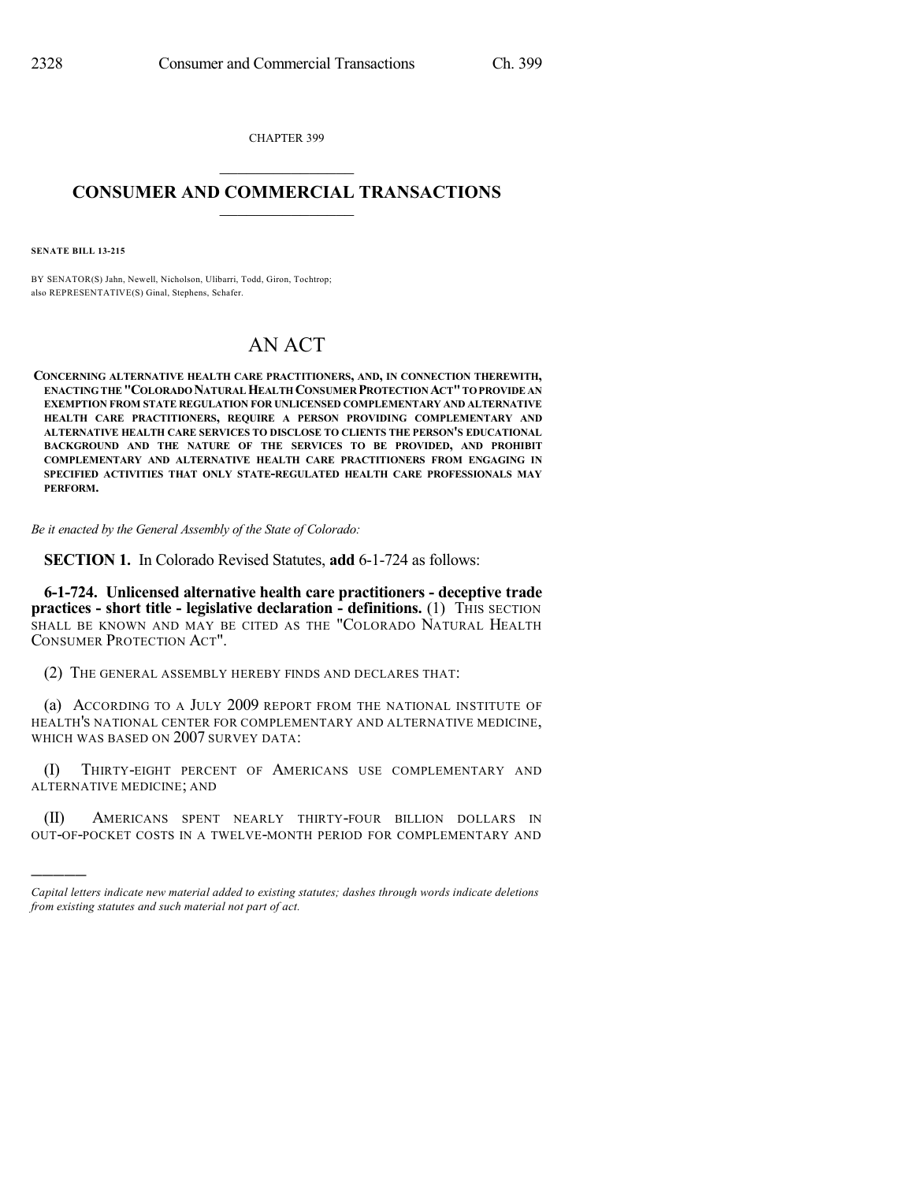CHAPTER 399  $\mathcal{L}_\text{max}$  . The set of the set of the set of the set of the set of the set of the set of the set of the set of the set of the set of the set of the set of the set of the set of the set of the set of the set of the set

## **CONSUMER AND COMMERCIAL TRANSACTIONS**  $\frac{1}{2}$  ,  $\frac{1}{2}$  ,  $\frac{1}{2}$  ,  $\frac{1}{2}$  ,  $\frac{1}{2}$  ,  $\frac{1}{2}$

**SENATE BILL 13-215**

)))))

BY SENATOR(S) Jahn, Newell, Nicholson, Ulibarri, Todd, Giron, Tochtrop; also REPRESENTATIVE(S) Ginal, Stephens, Schafer.

## AN ACT

**CONCERNING ALTERNATIVE HEALTH CARE PRACTITIONERS, AND, IN CONNECTION THEREWITH, ENACTINGTHE "COLORADONATURAL HEALTH CONSUMER PROTECTION ACT"TOPROVIDE AN EXEMPTION FROM STATE REGULATION FOR UNLICENSED COMPLEMENTARY AND ALTERNATIVE HEALTH CARE PRACTITIONERS, REQUIRE A PERSON PROVIDING COMPLEMENTARY AND ALTERNATIVE HEALTH CARE SERVICES TO DISCLOSE TO CLIENTS THE PERSON'S EDUCATIONAL BACKGROUND AND THE NATURE OF THE SERVICES TO BE PROVIDED, AND PROHIBIT COMPLEMENTARY AND ALTERNATIVE HEALTH CARE PRACTITIONERS FROM ENGAGING IN SPECIFIED ACTIVITIES THAT ONLY STATE-REGULATED HEALTH CARE PROFESSIONALS MAY PERFORM.**

*Be it enacted by the General Assembly of the State of Colorado:*

**SECTION 1.** In Colorado Revised Statutes, **add** 6-1-724 as follows:

**6-1-724. Unlicensed alternative health care practitioners - deceptive trade practices -** short title **-** legislative declaration **-** definitions. (1) THIS SECTION SHALL BE KNOWN AND MAY BE CITED AS THE "COLORADO NATURAL HEALTH CONSUMER PROTECTION ACT".

(2) THE GENERAL ASSEMBLY HEREBY FINDS AND DECLARES THAT:

(a) ACCORDING TO A JULY 2009 REPORT FROM THE NATIONAL INSTITUTE OF HEALTH'S NATIONAL CENTER FOR COMPLEMENTARY AND ALTERNATIVE MEDICINE, WHICH WAS BASED ON 2007 SURVEY DATA:

(I) THIRTY-EIGHT PERCENT OF AMERICANS USE COMPLEMENTARY AND ALTERNATIVE MEDICINE; AND

(II) AMERICANS SPENT NEARLY THIRTY-FOUR BILLION DOLLARS IN OUT-OF-POCKET COSTS IN A TWELVE-MONTH PERIOD FOR COMPLEMENTARY AND

*Capital letters indicate new material added to existing statutes; dashes through words indicate deletions from existing statutes and such material not part of act.*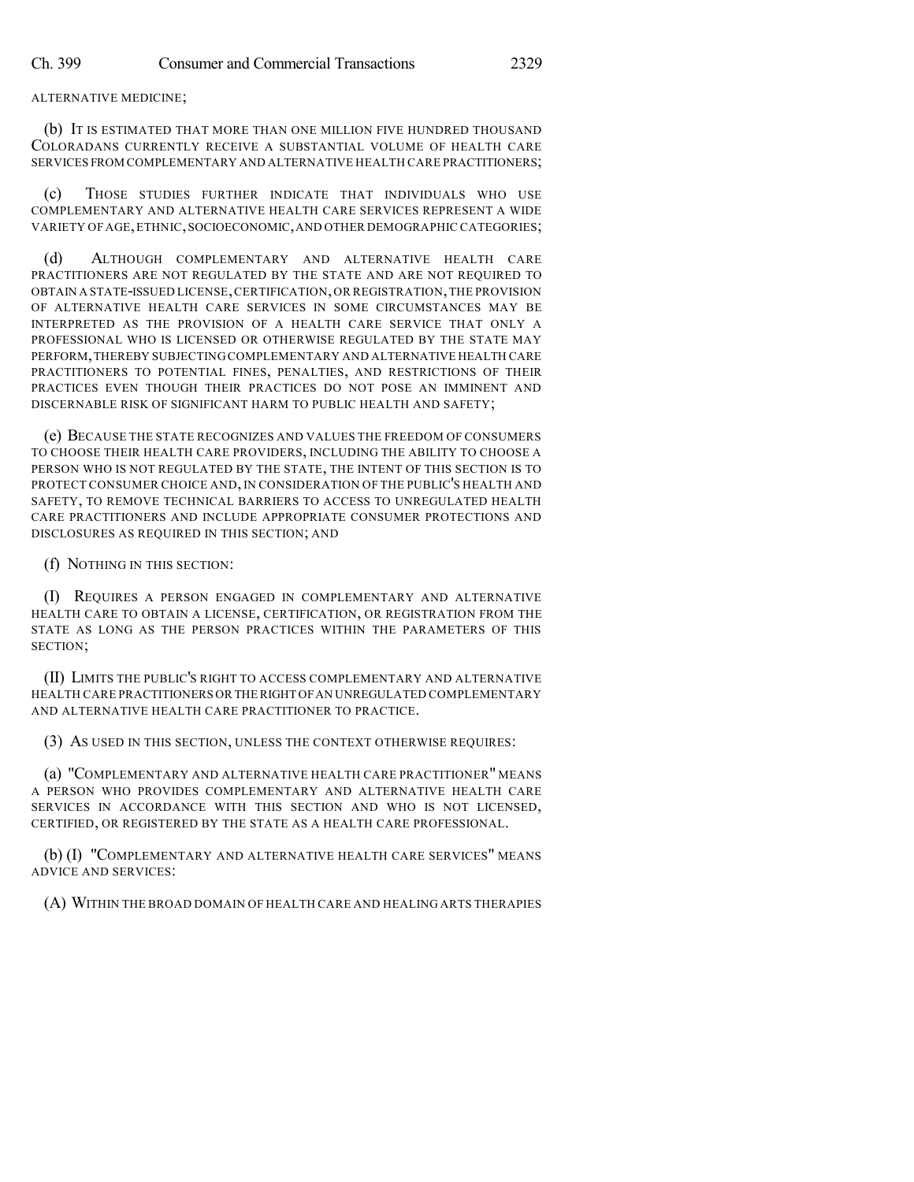ALTERNATIVE MEDICINE;

(b) IT IS ESTIMATED THAT MORE THAN ONE MILLION FIVE HUNDRED THOUSAND COLORADANS CURRENTLY RECEIVE A SUBSTANTIAL VOLUME OF HEALTH CARE SERVICES FROM COMPLEMENTARY AND ALTERNATIVE HEALTH CARE PRACTITIONERS;

(c) THOSE STUDIES FURTHER INDICATE THAT INDIVIDUALS WHO USE COMPLEMENTARY AND ALTERNATIVE HEALTH CARE SERVICES REPRESENT A WIDE VARIETY OF AGE,ETHNIC,SOCIOECONOMIC,AND OTHER DEMOGRAPHIC CATEGORIES;

(d) ALTHOUGH COMPLEMENTARY AND ALTERNATIVE HEALTH CARE PRACTITIONERS ARE NOT REGULATED BY THE STATE AND ARE NOT REQUIRED TO OBTAIN A STATE-ISSUED LICENSE,CERTIFICATION,OR REGISTRATION,THE PROVISION OF ALTERNATIVE HEALTH CARE SERVICES IN SOME CIRCUMSTANCES MAY BE INTERPRETED AS THE PROVISION OF A HEALTH CARE SERVICE THAT ONLY A PROFESSIONAL WHO IS LICENSED OR OTHERWISE REGULATED BY THE STATE MAY PERFORM,THEREBY SUBJECTING COMPLEMENTARY AND ALTERNATIVE HEALTH CARE PRACTITIONERS TO POTENTIAL FINES, PENALTIES, AND RESTRICTIONS OF THEIR PRACTICES EVEN THOUGH THEIR PRACTICES DO NOT POSE AN IMMINENT AND DISCERNABLE RISK OF SIGNIFICANT HARM TO PUBLIC HEALTH AND SAFETY;

(e) BECAUSE THE STATE RECOGNIZES AND VALUES THE FREEDOM OF CONSUMERS TO CHOOSE THEIR HEALTH CARE PROVIDERS, INCLUDING THE ABILITY TO CHOOSE A PERSON WHO IS NOT REGULATED BY THE STATE, THE INTENT OF THIS SECTION IS TO PROTECT CONSUMER CHOICE AND, IN CONSIDERATION OF THE PUBLIC'S HEALTH AND SAFETY, TO REMOVE TECHNICAL BARRIERS TO ACCESS TO UNREGULATED HEALTH CARE PRACTITIONERS AND INCLUDE APPROPRIATE CONSUMER PROTECTIONS AND DISCLOSURES AS REQUIRED IN THIS SECTION; AND

(f) NOTHING IN THIS SECTION:

(I) REQUIRES A PERSON ENGAGED IN COMPLEMENTARY AND ALTERNATIVE HEALTH CARE TO OBTAIN A LICENSE, CERTIFICATION, OR REGISTRATION FROM THE STATE AS LONG AS THE PERSON PRACTICES WITHIN THE PARAMETERS OF THIS SECTION;

(II) LIMITS THE PUBLIC'S RIGHT TO ACCESS COMPLEMENTARY AND ALTERNATIVE HEALTH CARE PRACTITIONERS OR THERIGHT OFAN UNREGULATED COMPLEMENTARY AND ALTERNATIVE HEALTH CARE PRACTITIONER TO PRACTICE.

(3) AS USED IN THIS SECTION, UNLESS THE CONTEXT OTHERWISE REQUIRES:

(a) "COMPLEMENTARY AND ALTERNATIVE HEALTH CARE PRACTITIONER" MEANS A PERSON WHO PROVIDES COMPLEMENTARY AND ALTERNATIVE HEALTH CARE SERVICES IN ACCORDANCE WITH THIS SECTION AND WHO IS NOT LICENSED, CERTIFIED, OR REGISTERED BY THE STATE AS A HEALTH CARE PROFESSIONAL.

(b) (I) "COMPLEMENTARY AND ALTERNATIVE HEALTH CARE SERVICES" MEANS ADVICE AND SERVICES:

(A) WITHIN THE BROAD DOMAIN OF HEALTH CARE AND HEALING ARTS THERAPIES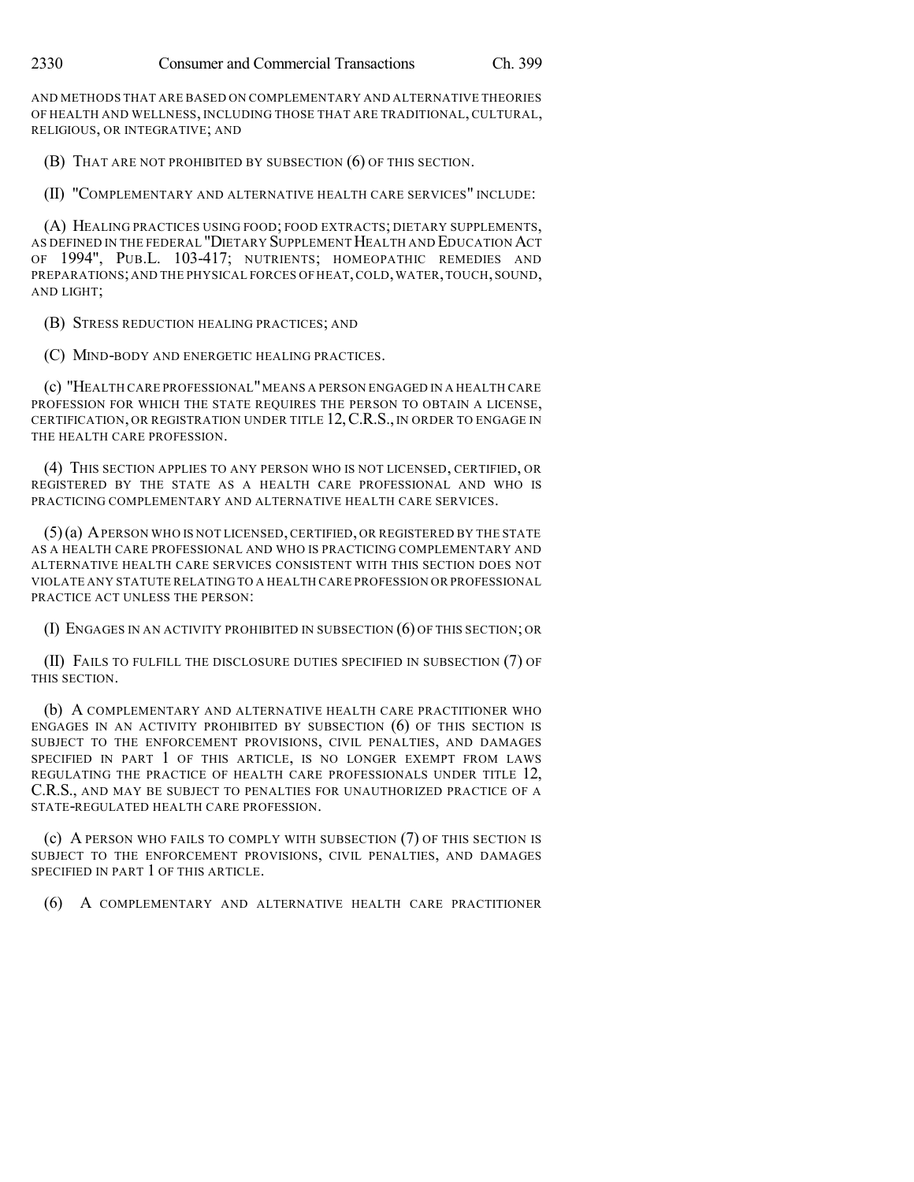AND METHODS THAT ARE BASED ON COMPLEMENTARY AND ALTERNATIVE THEORIES OF HEALTH AND WELLNESS, INCLUDING THOSE THAT ARE TRADITIONAL, CULTURAL, RELIGIOUS, OR INTEGRATIVE; AND

(B) THAT ARE NOT PROHIBITED BY SUBSECTION (6) OF THIS SECTION.

(II) "COMPLEMENTARY AND ALTERNATIVE HEALTH CARE SERVICES" INCLUDE:

(A) HEALING PRACTICES USING FOOD; FOOD EXTRACTS; DIETARY SUPPLEMENTS, AS DEFINED IN THE FEDERAL "DIETARY SUPPLEMENT HEALTH AND EDUCATION ACT OF 1994", PUB.L. 103-417; NUTRIENTS; HOMEOPATHIC REMEDIES AND PREPARATIONS;AND THE PHYSICAL FORCES OF HEAT,COLD,WATER,TOUCH, SOUND, AND LIGHT;

(B) STRESS REDUCTION HEALING PRACTICES; AND

(C) MIND-BODY AND ENERGETIC HEALING PRACTICES.

(c) "HEALTH CARE PROFESSIONAL"MEANS A PERSON ENGAGED IN A HEALTH CARE PROFESSION FOR WHICH THE STATE REQUIRES THE PERSON TO OBTAIN A LICENSE, CERTIFICATION, OR REGISTRATION UNDER TITLE 12,C.R.S., IN ORDER TO ENGAGE IN THE HEALTH CARE PROFESSION.

(4) THIS SECTION APPLIES TO ANY PERSON WHO IS NOT LICENSED, CERTIFIED, OR REGISTERED BY THE STATE AS A HEALTH CARE PROFESSIONAL AND WHO IS PRACTICING COMPLEMENTARY AND ALTERNATIVE HEALTH CARE SERVICES.

(5)(a) APERSON WHO IS NOT LICENSED,CERTIFIED, OR REGISTERED BY THE STATE AS A HEALTH CARE PROFESSIONAL AND WHO IS PRACTICING COMPLEMENTARY AND ALTERNATIVE HEALTH CARE SERVICES CONSISTENT WITH THIS SECTION DOES NOT VIOLATE ANY STATUTE RELATING TO A HEALTH CARE PROFESSION OR PROFESSIONAL PRACTICE ACT UNLESS THE PERSON:

(I) ENGAGES IN AN ACTIVITY PROHIBITED IN SUBSECTION (6) OF THIS SECTION; OR

(II) FAILS TO FULFILL THE DISCLOSURE DUTIES SPECIFIED IN SUBSECTION (7) OF THIS SECTION.

(b) A COMPLEMENTARY AND ALTERNATIVE HEALTH CARE PRACTITIONER WHO ENGAGES IN AN ACTIVITY PROHIBITED BY SUBSECTION (6) OF THIS SECTION IS SUBJECT TO THE ENFORCEMENT PROVISIONS, CIVIL PENALTIES, AND DAMAGES SPECIFIED IN PART 1 OF THIS ARTICLE, IS NO LONGER EXEMPT FROM LAWS REGULATING THE PRACTICE OF HEALTH CARE PROFESSIONALS UNDER TITLE 12, C.R.S., AND MAY BE SUBJECT TO PENALTIES FOR UNAUTHORIZED PRACTICE OF A STATE-REGULATED HEALTH CARE PROFESSION.

(c) A PERSON WHO FAILS TO COMPLY WITH SUBSECTION (7) OF THIS SECTION IS SUBJECT TO THE ENFORCEMENT PROVISIONS, CIVIL PENALTIES, AND DAMAGES SPECIFIED IN PART 1 OF THIS ARTICLE.

(6) A COMPLEMENTARY AND ALTERNATIVE HEALTH CARE PRACTITIONER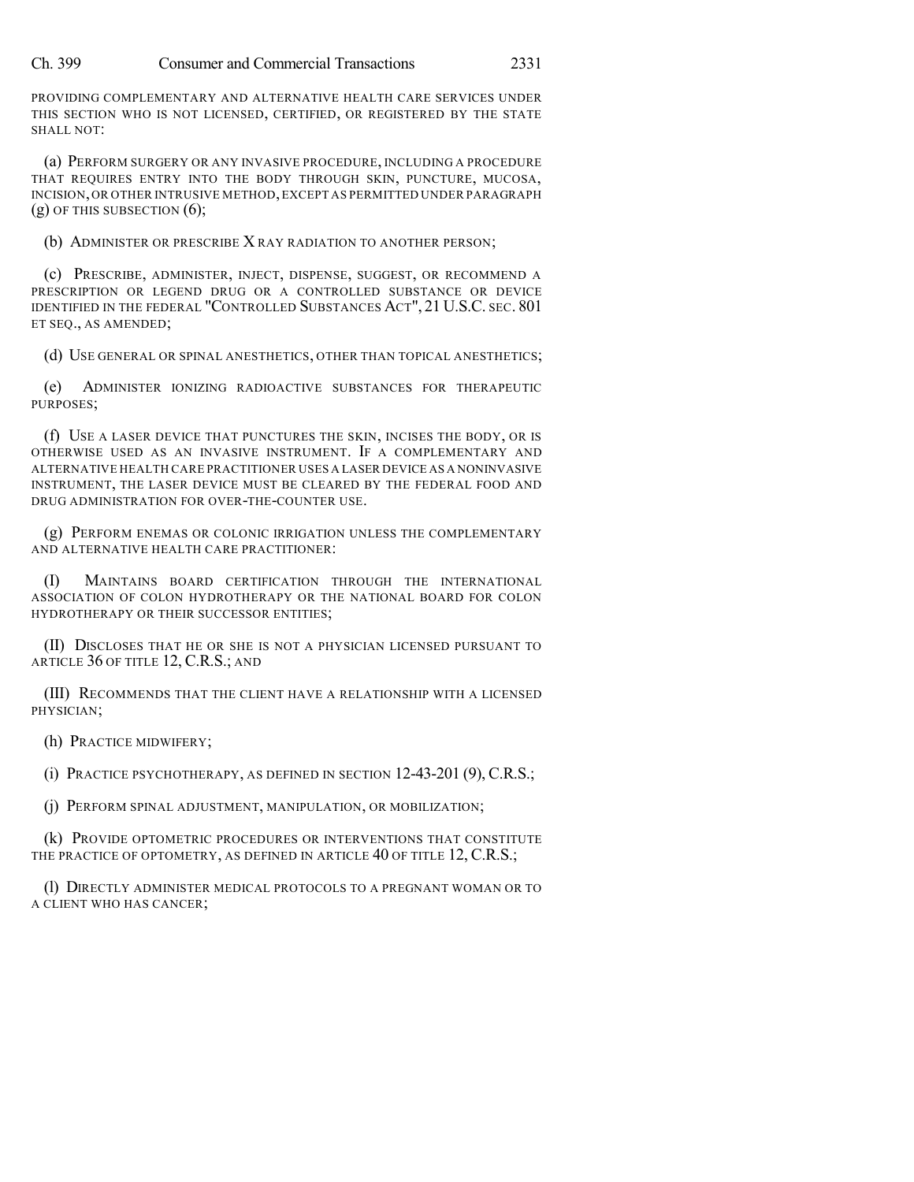PROVIDING COMPLEMENTARY AND ALTERNATIVE HEALTH CARE SERVICES UNDER THIS SECTION WHO IS NOT LICENSED, CERTIFIED, OR REGISTERED BY THE STATE SHALL NOT:

(a) PERFORM SURGERY OR ANY INVASIVE PROCEDURE, INCLUDING A PROCEDURE THAT REQUIRES ENTRY INTO THE BODY THROUGH SKIN, PUNCTURE, MUCOSA, INCISION,OR OTHER INTRUSIVE METHOD,EXCEPT AS PERMITTED UNDER PARAGRAPH  $(g)$  OF THIS SUBSECTION  $(6)$ ;

(b) ADMINISTER OR PRESCRIBE X RAY RADIATION TO ANOTHER PERSON;

(c) PRESCRIBE, ADMINISTER, INJECT, DISPENSE, SUGGEST, OR RECOMMEND A PRESCRIPTION OR LEGEND DRUG OR A CONTROLLED SUBSTANCE OR DEVICE IDENTIFIED IN THE FEDERAL "CONTROLLED SUBSTANCES ACT", 21 U.S.C. SEC. 801 ET SEQ., AS AMENDED;

(d) USE GENERAL OR SPINAL ANESTHETICS, OTHER THAN TOPICAL ANESTHETICS;

(e) ADMINISTER IONIZING RADIOACTIVE SUBSTANCES FOR THERAPEUTIC PURPOSES;

(f) USE A LASER DEVICE THAT PUNCTURES THE SKIN, INCISES THE BODY, OR IS OTHERWISE USED AS AN INVASIVE INSTRUMENT. IF A COMPLEMENTARY AND ALTERNATIVE HEALTH CARE PRACTITIONER USES A LASER DEVICE AS A NONINVASIVE INSTRUMENT, THE LASER DEVICE MUST BE CLEARED BY THE FEDERAL FOOD AND DRUG ADMINISTRATION FOR OVER-THE-COUNTER USE.

(g) PERFORM ENEMAS OR COLONIC IRRIGATION UNLESS THE COMPLEMENTARY AND ALTERNATIVE HEALTH CARE PRACTITIONER:

(I) MAINTAINS BOARD CERTIFICATION THROUGH THE INTERNATIONAL ASSOCIATION OF COLON HYDROTHERAPY OR THE NATIONAL BOARD FOR COLON HYDROTHERAPY OR THEIR SUCCESSOR ENTITIES;

(II) DISCLOSES THAT HE OR SHE IS NOT A PHYSICIAN LICENSED PURSUANT TO ARTICLE 36 OF TITLE 12, C.R.S.; AND

(III) RECOMMENDS THAT THE CLIENT HAVE A RELATIONSHIP WITH A LICENSED PHYSICIAN;

(h) PRACTICE MIDWIFERY;

(i) PRACTICE PSYCHOTHERAPY, AS DEFINED IN SECTION 12-43-201 (9), C.R.S.;

(j) PERFORM SPINAL ADJUSTMENT, MANIPULATION, OR MOBILIZATION;

(k) PROVIDE OPTOMETRIC PROCEDURES OR INTERVENTIONS THAT CONSTITUTE THE PRACTICE OF OPTOMETRY, AS DEFINED IN ARTICLE 40 OF TITLE 12, C.R.S.;

(l) DIRECTLY ADMINISTER MEDICAL PROTOCOLS TO A PREGNANT WOMAN OR TO A CLIENT WHO HAS CANCER;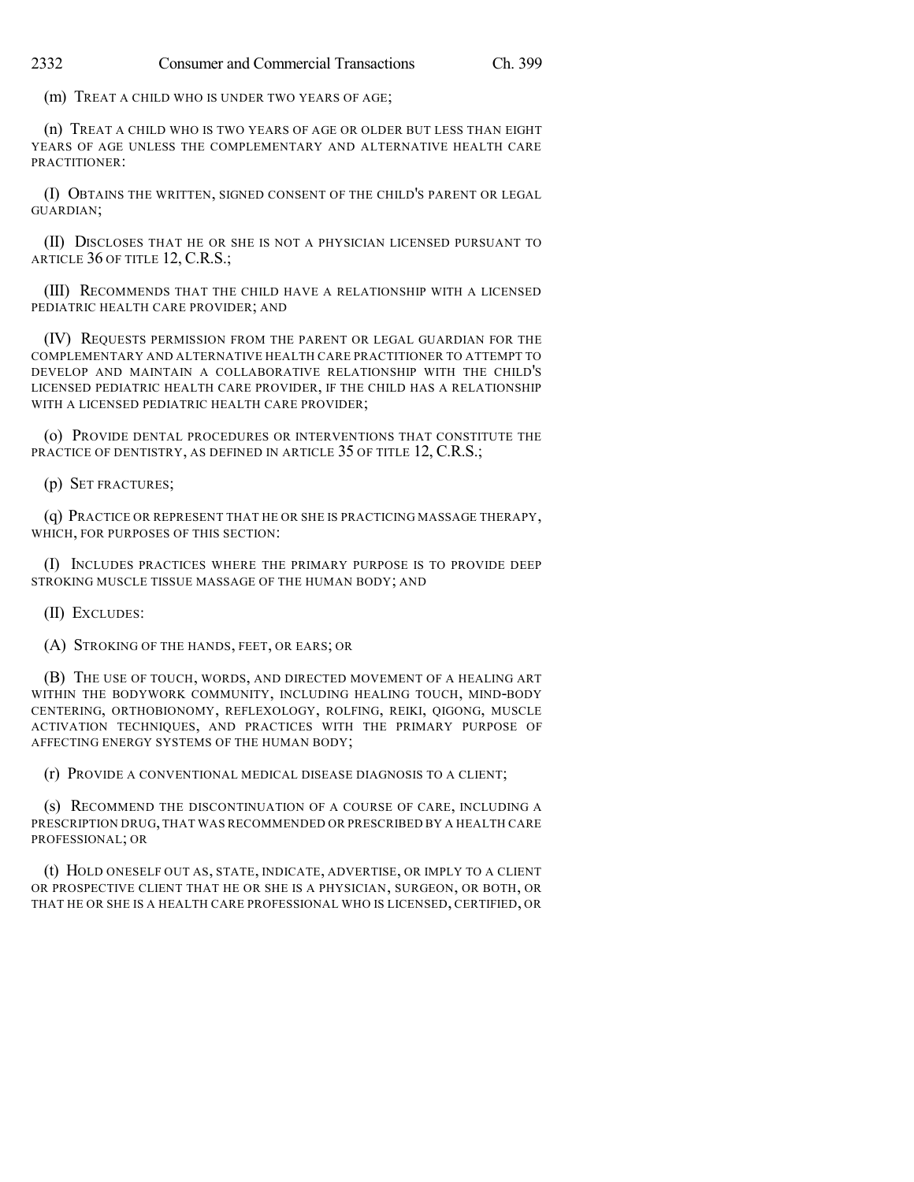(m) TREAT A CHILD WHO IS UNDER TWO YEARS OF AGE;

(n) TREAT A CHILD WHO IS TWO YEARS OF AGE OR OLDER BUT LESS THAN EIGHT YEARS OF AGE UNLESS THE COMPLEMENTARY AND ALTERNATIVE HEALTH CARE PRACTITIONER:

(I) OBTAINS THE WRITTEN, SIGNED CONSENT OF THE CHILD'S PARENT OR LEGAL GUARDIAN;

(II) DISCLOSES THAT HE OR SHE IS NOT A PHYSICIAN LICENSED PURSUANT TO ARTICLE 36 OF TITLE 12, C.R.S.;

(III) RECOMMENDS THAT THE CHILD HAVE A RELATIONSHIP WITH A LICENSED PEDIATRIC HEALTH CARE PROVIDER; AND

(IV) REQUESTS PERMISSION FROM THE PARENT OR LEGAL GUARDIAN FOR THE COMPLEMENTARY AND ALTERNATIVE HEALTH CARE PRACTITIONER TO ATTEMPT TO DEVELOP AND MAINTAIN A COLLABORATIVE RELATIONSHIP WITH THE CHILD'S LICENSED PEDIATRIC HEALTH CARE PROVIDER, IF THE CHILD HAS A RELATIONSHIP WITH A LICENSED PEDIATRIC HEALTH CARE PROVIDER;

(o) PROVIDE DENTAL PROCEDURES OR INTERVENTIONS THAT CONSTITUTE THE PRACTICE OF DENTISTRY, AS DEFINED IN ARTICLE 35 OF TITLE 12, C.R.S.;

(p) SET FRACTURES;

(q) PRACTICE OR REPRESENT THAT HE OR SHE IS PRACTICING MASSAGE THERAPY, WHICH, FOR PURPOSES OF THIS SECTION:

(I) INCLUDES PRACTICES WHERE THE PRIMARY PURPOSE IS TO PROVIDE DEEP STROKING MUSCLE TISSUE MASSAGE OF THE HUMAN BODY; AND

(II) EXCLUDES:

(A) STROKING OF THE HANDS, FEET, OR EARS; OR

(B) THE USE OF TOUCH, WORDS, AND DIRECTED MOVEMENT OF A HEALING ART WITHIN THE BODYWORK COMMUNITY, INCLUDING HEALING TOUCH, MIND-BODY CENTERING, ORTHOBIONOMY, REFLEXOLOGY, ROLFING, REIKI, QIGONG, MUSCLE ACTIVATION TECHNIQUES, AND PRACTICES WITH THE PRIMARY PURPOSE OF AFFECTING ENERGY SYSTEMS OF THE HUMAN BODY;

(r) PROVIDE A CONVENTIONAL MEDICAL DISEASE DIAGNOSIS TO A CLIENT;

(s) RECOMMEND THE DISCONTINUATION OF A COURSE OF CARE, INCLUDING A PRESCRIPTION DRUG, THAT WAS RECOMMENDED OR PRESCRIBED BY A HEALTH CARE PROFESSIONAL; OR

(t) HOLD ONESELF OUT AS, STATE, INDICATE, ADVERTISE, OR IMPLY TO A CLIENT OR PROSPECTIVE CLIENT THAT HE OR SHE IS A PHYSICIAN, SURGEON, OR BOTH, OR THAT HE OR SHE IS A HEALTH CARE PROFESSIONAL WHO IS LICENSED, CERTIFIED, OR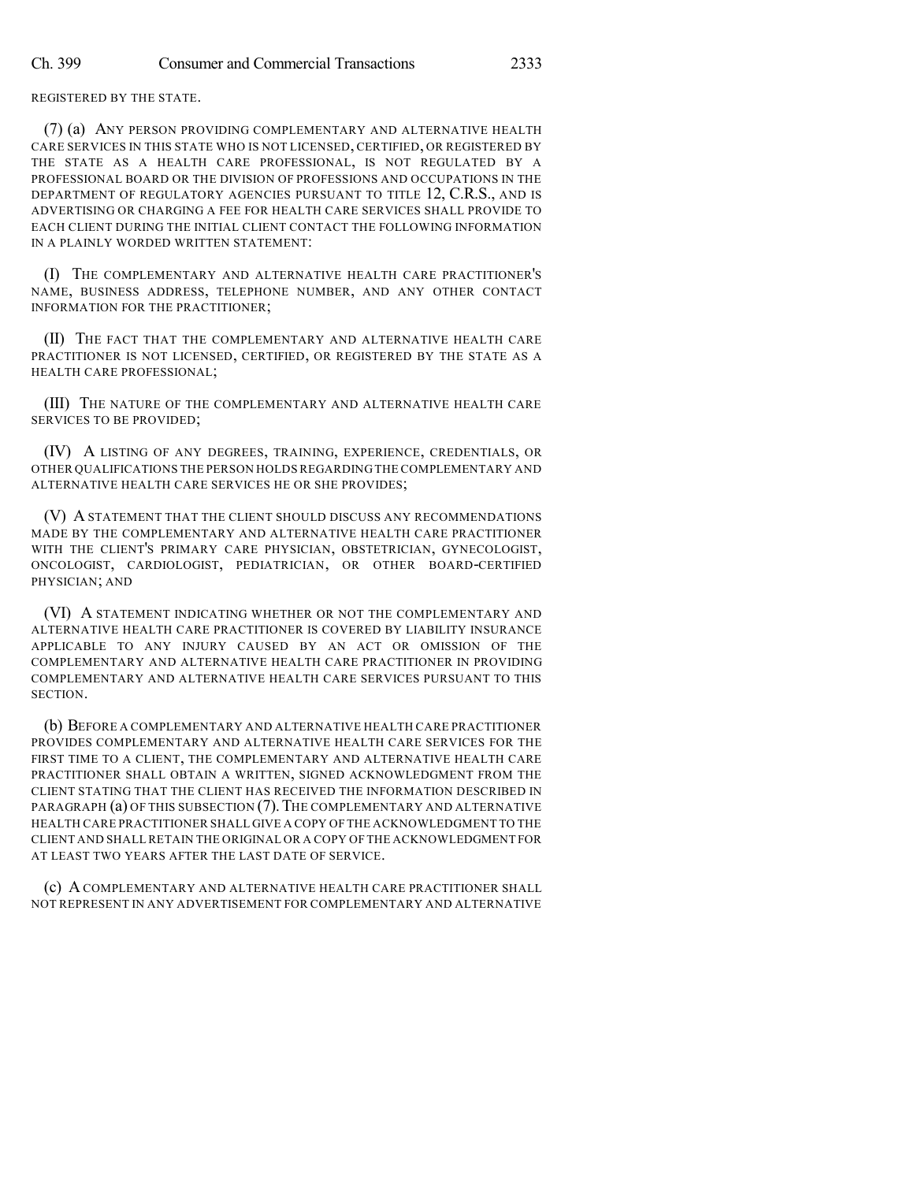REGISTERED BY THE STATE.

(7) (a) ANY PERSON PROVIDING COMPLEMENTARY AND ALTERNATIVE HEALTH CARE SERVICES IN THIS STATE WHO IS NOT LICENSED, CERTIFIED, OR REGISTERED BY THE STATE AS A HEALTH CARE PROFESSIONAL, IS NOT REGULATED BY A PROFESSIONAL BOARD OR THE DIVISION OF PROFESSIONS AND OCCUPATIONS IN THE DEPARTMENT OF REGULATORY AGENCIES PURSUANT TO TITLE 12, C.R.S., AND IS ADVERTISING OR CHARGING A FEE FOR HEALTH CARE SERVICES SHALL PROVIDE TO EACH CLIENT DURING THE INITIAL CLIENT CONTACT THE FOLLOWING INFORMATION IN A PLAINLY WORDED WRITTEN STATEMENT:

(I) THE COMPLEMENTARY AND ALTERNATIVE HEALTH CARE PRACTITIONER'S NAME, BUSINESS ADDRESS, TELEPHONE NUMBER, AND ANY OTHER CONTACT INFORMATION FOR THE PRACTITIONER;

(II) THE FACT THAT THE COMPLEMENTARY AND ALTERNATIVE HEALTH CARE PRACTITIONER IS NOT LICENSED, CERTIFIED, OR REGISTERED BY THE STATE AS A HEALTH CARE PROFESSIONAL;

(III) THE NATURE OF THE COMPLEMENTARY AND ALTERNATIVE HEALTH CARE SERVICES TO BE PROVIDED;

(IV) A LISTING OF ANY DEGREES, TRAINING, EXPERIENCE, CREDENTIALS, OR OTHER QUALIFICATIONS THE PERSON HOLDS REGARDING THE COMPLEMENTARY AND ALTERNATIVE HEALTH CARE SERVICES HE OR SHE PROVIDES;

(V) A STATEMENT THAT THE CLIENT SHOULD DISCUSS ANY RECOMMENDATIONS MADE BY THE COMPLEMENTARY AND ALTERNATIVE HEALTH CARE PRACTITIONER WITH THE CLIENT'S PRIMARY CARE PHYSICIAN, OBSTETRICIAN, GYNECOLOGIST, ONCOLOGIST, CARDIOLOGIST, PEDIATRICIAN, OR OTHER BOARD-CERTIFIED PHYSICIAN; AND

(VI) A STATEMENT INDICATING WHETHER OR NOT THE COMPLEMENTARY AND ALTERNATIVE HEALTH CARE PRACTITIONER IS COVERED BY LIABILITY INSURANCE APPLICABLE TO ANY INJURY CAUSED BY AN ACT OR OMISSION OF THE COMPLEMENTARY AND ALTERNATIVE HEALTH CARE PRACTITIONER IN PROVIDING COMPLEMENTARY AND ALTERNATIVE HEALTH CARE SERVICES PURSUANT TO THIS SECTION.

(b) BEFORE A COMPLEMENTARY AND ALTERNATIVE HEALTH CARE PRACTITIONER PROVIDES COMPLEMENTARY AND ALTERNATIVE HEALTH CARE SERVICES FOR THE FIRST TIME TO A CLIENT, THE COMPLEMENTARY AND ALTERNATIVE HEALTH CARE PRACTITIONER SHALL OBTAIN A WRITTEN, SIGNED ACKNOWLEDGMENT FROM THE CLIENT STATING THAT THE CLIENT HAS RECEIVED THE INFORMATION DESCRIBED IN PARAGRAPH (a) OF THIS SUBSECTION (7). THE COMPLEMENTARY AND ALTERNATIVE HEALTH CARE PRACTITIONER SHALL GIVE A COPY OF THE ACKNOWLEDGMENT TO THE CLIENT AND SHALL RETAIN THE ORIGINAL OR A COPY OF THE ACKNOWLEDGMENT FOR AT LEAST TWO YEARS AFTER THE LAST DATE OF SERVICE.

(c) A COMPLEMENTARY AND ALTERNATIVE HEALTH CARE PRACTITIONER SHALL NOT REPRESENT IN ANY ADVERTISEMENT FOR COMPLEMENTARY AND ALTERNATIVE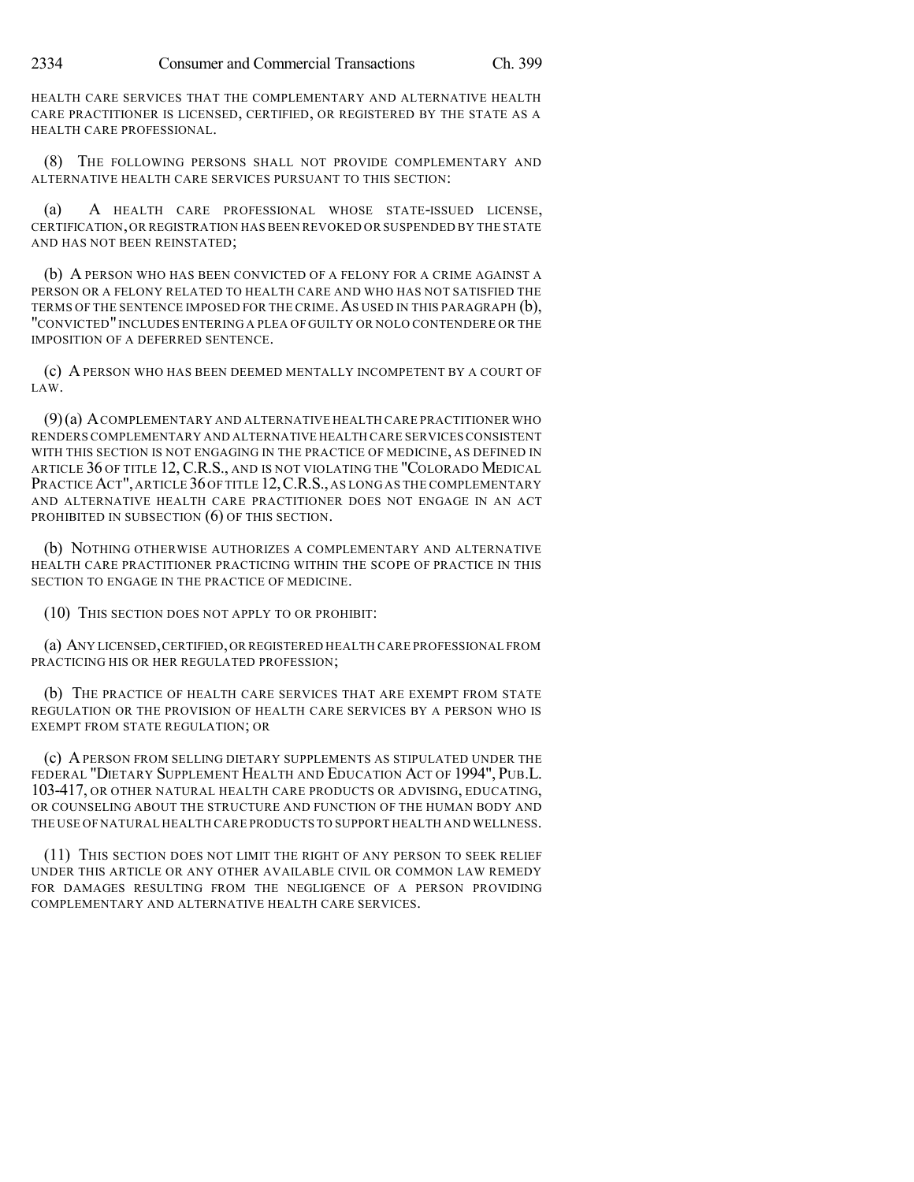HEALTH CARE SERVICES THAT THE COMPLEMENTARY AND ALTERNATIVE HEALTH CARE PRACTITIONER IS LICENSED, CERTIFIED, OR REGISTERED BY THE STATE AS A HEALTH CARE PROFESSIONAL.

(8) THE FOLLOWING PERSONS SHALL NOT PROVIDE COMPLEMENTARY AND ALTERNATIVE HEALTH CARE SERVICES PURSUANT TO THIS SECTION:

(a) A HEALTH CARE PROFESSIONAL WHOSE STATE-ISSUED LICENSE, CERTIFICATION,OR REGISTRATION HAS BEEN REVOKED OR SUSPENDED BY THE STATE AND HAS NOT BEEN REINSTATED;

(b) A PERSON WHO HAS BEEN CONVICTED OF A FELONY FOR A CRIME AGAINST A PERSON OR A FELONY RELATED TO HEALTH CARE AND WHO HAS NOT SATISFIED THE TERMS OF THE SENTENCE IMPOSED FOR THE CRIME. AS USED IN THIS PARAGRAPH (b), "CONVICTED"INCLUDES ENTERING A PLEA OF GUILTY OR NOLO CONTENDERE OR THE IMPOSITION OF A DEFERRED SENTENCE.

(c) A PERSON WHO HAS BEEN DEEMED MENTALLY INCOMPETENT BY A COURT OF LAW.

(9)(a) ACOMPLEMENTARY AND ALTERNATIVE HEALTH CARE PRACTITIONER WHO RENDERS COMPLEMENTARY AND ALTERNATIVE HEALTH CARE SERVICES CONSISTENT WITH THIS SECTION IS NOT ENGAGING IN THE PRACTICE OF MEDICINE, AS DEFINED IN ARTICLE 36 OF TITLE 12,C.R.S., AND IS NOT VIOLATING THE "COLORADO MEDICAL PRACTICE ACT", ARTICLE 36 OF TITLE 12, C.R.S., AS LONG AS THE COMPLEMENTARY AND ALTERNATIVE HEALTH CARE PRACTITIONER DOES NOT ENGAGE IN AN ACT PROHIBITED IN SUBSECTION (6) OF THIS SECTION.

(b) NOTHING OTHERWISE AUTHORIZES A COMPLEMENTARY AND ALTERNATIVE HEALTH CARE PRACTITIONER PRACTICING WITHIN THE SCOPE OF PRACTICE IN THIS SECTION TO ENGAGE IN THE PRACTICE OF MEDICINE.

(10) THIS SECTION DOES NOT APPLY TO OR PROHIBIT:

(a) ANY LICENSED,CERTIFIED,OR REGISTERED HEALTH CARE PROFESSIONAL FROM PRACTICING HIS OR HER REGULATED PROFESSION;

(b) THE PRACTICE OF HEALTH CARE SERVICES THAT ARE EXEMPT FROM STATE REGULATION OR THE PROVISION OF HEALTH CARE SERVICES BY A PERSON WHO IS EXEMPT FROM STATE REGULATION; OR

(c) APERSON FROM SELLING DIETARY SUPPLEMENTS AS STIPULATED UNDER THE FEDERAL "DIETARY SUPPLEMENT HEALTH AND EDUCATION ACT OF 1994", PUB.L. 103-417, OR OTHER NATURAL HEALTH CARE PRODUCTS OR ADVISING, EDUCATING, OR COUNSELING ABOUT THE STRUCTURE AND FUNCTION OF THE HUMAN BODY AND THE USE OF NATURAL HEALTH CARE PRODUCTS TO SUPPORT HEALTH AND WELLNESS.

(11) THIS SECTION DOES NOT LIMIT THE RIGHT OF ANY PERSON TO SEEK RELIEF UNDER THIS ARTICLE OR ANY OTHER AVAILABLE CIVIL OR COMMON LAW REMEDY FOR DAMAGES RESULTING FROM THE NEGLIGENCE OF A PERSON PROVIDING COMPLEMENTARY AND ALTERNATIVE HEALTH CARE SERVICES.